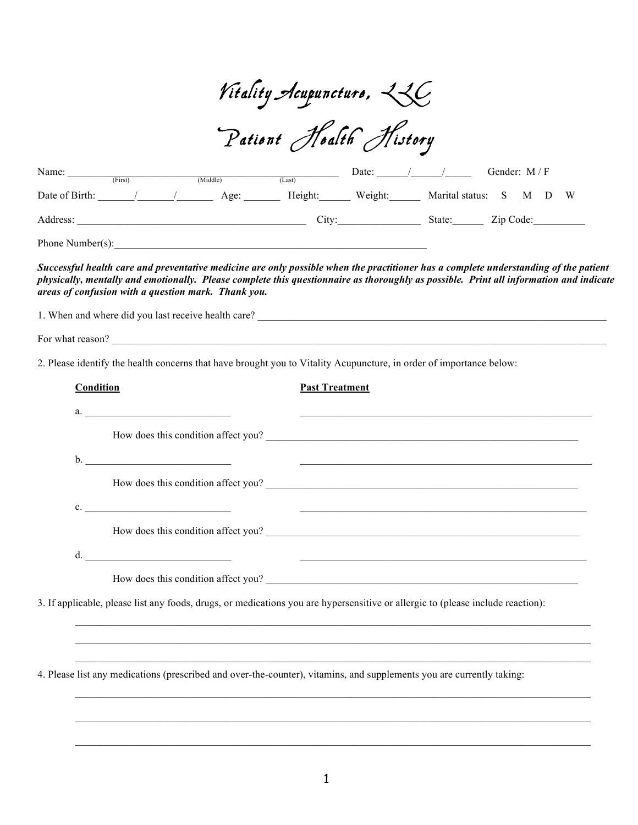| Vitality Acupuncturo, 236 |  |
|---------------------------|--|
|---------------------------|--|

Pationt Hoalth History

| Name:            | (First) | (Middle) | (Last)  | Date:   |                   | Gender: $M/F$ |
|------------------|---------|----------|---------|---------|-------------------|---------------|
| Date of Birth:   |         | Age:     | Height: | Weight: | Marital status: S | M D W         |
| Address:         |         |          | City:   |         | State:            | Zip Code:     |
| Phone Number(s): |         |          |         |         |                   |               |

*Successful health care and preventative medicine are only possible when the practitioner has a complete understanding of the patient physically, mentally and emotionally. Please complete this questionnaire as thoroughly as possible. Print all information and indicate areas of confusion with a question mark. Thank you.*

1. When and where did you last receive health care? For what reason? 2. Please identify the health concerns that have brought you to Vitality Acupuncture, in order of importance below: **Condition Past Treatment** a.  $\frac{1}{2}$  .  $\frac{1}{2}$  .  $\frac{1}{2}$  .  $\frac{1}{2}$  .  $\frac{1}{2}$  .  $\frac{1}{2}$  .  $\frac{1}{2}$  .  $\frac{1}{2}$  .  $\frac{1}{2}$  .  $\frac{1}{2}$  .  $\frac{1}{2}$  .  $\frac{1}{2}$  .  $\frac{1}{2}$  .  $\frac{1}{2}$  .  $\frac{1}{2}$  .  $\frac{1}{2}$  .  $\frac{1}{2}$  .  $\frac{1}{2}$  .  $\$ How does this condition affect you? b. \_\_\_\_\_\_\_\_\_\_\_\_\_\_\_\_\_\_\_\_\_\_\_\_\_\_\_\_ \_\_\_\_\_\_\_\_\_\_\_\_\_\_\_\_\_\_\_\_\_\_\_\_\_\_\_\_\_\_\_\_\_\_\_\_\_\_\_\_\_\_\_\_\_\_\_\_\_\_\_\_\_\_\_\_

How does this condition affect you?

How does this condition affect you? \_\_\_\_\_\_\_\_\_\_\_\_\_\_\_\_\_\_\_\_\_\_\_\_\_\_\_\_\_\_\_\_\_\_\_\_\_\_\_\_\_\_\_\_\_\_\_\_\_\_\_\_\_\_\_\_\_\_\_\_

c. \_\_\_\_\_\_\_\_\_\_\_\_\_\_\_\_\_\_\_\_\_\_\_\_\_\_\_\_ \_\_\_\_\_\_\_\_\_\_\_\_\_\_\_\_\_\_\_\_\_\_\_\_\_\_\_\_\_\_\_\_\_\_\_\_\_\_\_\_\_\_\_\_\_\_\_\_\_\_\_\_\_\_\_

d.  $\underline{\hspace{1.5cm}}$ 

How does this condition affect you?

3. If applicable, please list any foods, drugs, or medications you are hypersensitive or allergic to (please include reaction):

4. Please list any medications (prescribed and over-the-counter), vitamins, and supplements you are currently taking:

 $\_$  , and the state of the state of the state of the state of the state of the state of the state of the state of the state of the state of the state of the state of the state of the state of the state of the state of the

 $\_$  , and the state of the state of the state of the state of the state of the state of the state of the state of the state of the state of the state of the state of the state of the state of the state of the state of the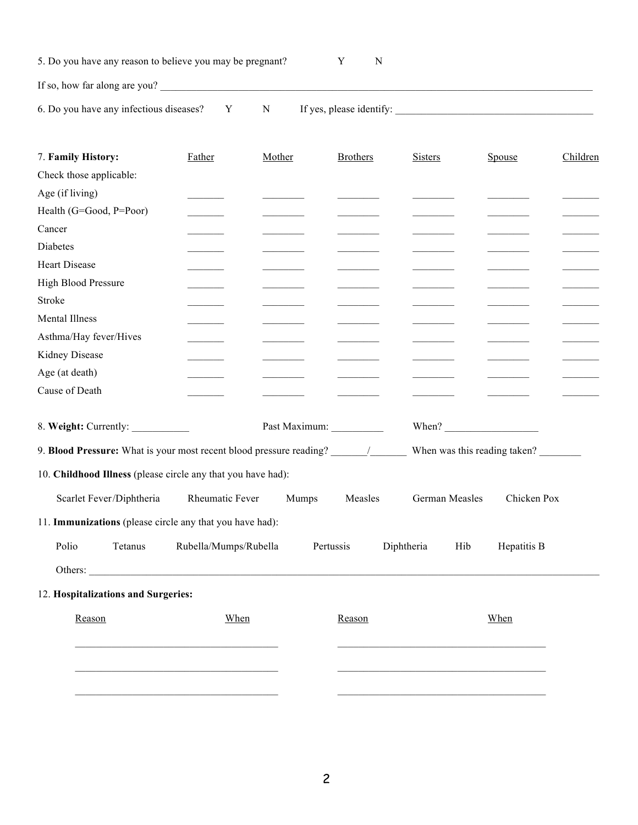|  | 5. Do you have any reason to believe you may be pregnant? |  |  |
|--|-----------------------------------------------------------|--|--|
|  |                                                           |  |  |

If so, how far along are you?  $\Box$ 

6. Do you have any infectious diseases? Y N If yes, please identify:

| 7. Family History:                                           | Father                   | Mother | <b>Brothers</b> | <b>Sisters</b>        | Spouse                       | Children                 |
|--------------------------------------------------------------|--------------------------|--------|-----------------|-----------------------|------------------------------|--------------------------|
| Check those applicable:                                      |                          |        |                 |                       |                              |                          |
| Age (if living)                                              |                          |        |                 |                       |                              |                          |
| Health (G=Good, P=Poor)                                      | <b>Contract Contract</b> |        |                 |                       |                              |                          |
| Cancer                                                       |                          |        |                 |                       |                              |                          |
| <b>Diabetes</b>                                              |                          |        |                 |                       |                              | <b>Contract Contract</b> |
| <b>Heart Disease</b>                                         | <b>Contract Contract</b> |        |                 |                       |                              |                          |
| High Blood Pressure                                          |                          |        |                 |                       |                              | $\sim$ 100 $\mu$         |
| Stroke                                                       |                          |        |                 |                       |                              |                          |
| Mental Illness                                               |                          |        |                 |                       |                              |                          |
| Asthma/Hay fever/Hives                                       |                          |        |                 |                       |                              |                          |
| Kidney Disease                                               |                          |        |                 |                       |                              |                          |
| Age (at death)                                               |                          |        |                 |                       |                              |                          |
| Cause of Death                                               |                          |        |                 |                       |                              |                          |
|                                                              |                          |        |                 |                       |                              |                          |
| 8. Weight: Currently:                                        |                          |        |                 | When? $\qquad \qquad$ |                              |                          |
|                                                              |                          |        |                 |                       | When was this reading taken? |                          |
| 10. Childhood Illness (please circle any that you have had): |                          |        |                 |                       |                              |                          |
| Scarlet Fever/Diphtheria                                     | Rheumatic Fever          | Mumps  | Measles         | German Measles        | Chicken Pox                  |                          |
| 11. Immunizations (please circle any that you have had):     |                          |        |                 |                       |                              |                          |
| Polio<br>Tetanus                                             | Rubella/Mumps/Rubella    |        | Pertussis       | Diphtheria<br>Hib     | Hepatitis B                  |                          |
|                                                              |                          |        |                 |                       |                              |                          |
| 12. Hospitalizations and Surgeries:                          |                          |        |                 |                       |                              |                          |
| Reason                                                       | When                     |        | Reason          |                       | When                         |                          |
|                                                              |                          |        |                 |                       |                              |                          |
|                                                              |                          |        |                 |                       |                              |                          |
|                                                              |                          |        |                 |                       |                              |                          |
|                                                              |                          |        |                 |                       |                              |                          |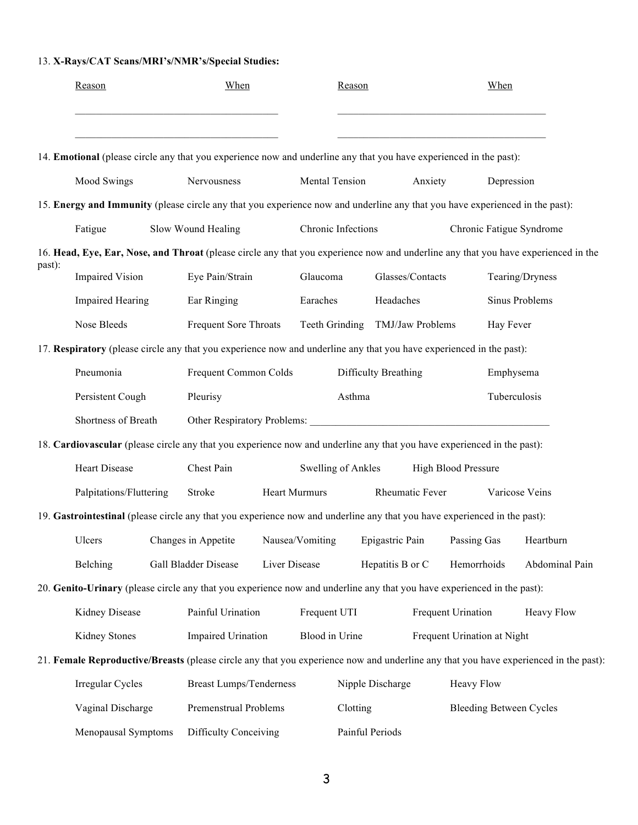## 13. **X-Rays/CAT Scans/MRI's/NMR's/Special Studies:**

|        | Reason                                                                                                                       | When                           |               |                      | Reason   |                      |         |                             | When         |                                                                                                                                      |
|--------|------------------------------------------------------------------------------------------------------------------------------|--------------------------------|---------------|----------------------|----------|----------------------|---------|-----------------------------|--------------|--------------------------------------------------------------------------------------------------------------------------------------|
|        | 14. Emotional (please circle any that you experience now and underline any that you have experienced in the past):           |                                |               |                      |          |                      |         |                             |              |                                                                                                                                      |
|        | Mood Swings                                                                                                                  | Nervousness                    |               | Mental Tension       |          |                      | Anxiety |                             | Depression   |                                                                                                                                      |
|        | 15. Energy and Immunity (please circle any that you experience now and underline any that you have experienced in the past): |                                |               |                      |          |                      |         |                             |              |                                                                                                                                      |
|        | Fatigue                                                                                                                      | Slow Wound Healing             |               | Chronic Infections   |          |                      |         |                             |              | Chronic Fatigue Syndrome                                                                                                             |
|        |                                                                                                                              |                                |               |                      |          |                      |         |                             |              | 16. Head, Eye, Ear, Nose, and Throat (please circle any that you experience now and underline any that you have experienced in the   |
| past): | <b>Impaired Vision</b>                                                                                                       | Eye Pain/Strain                |               | Glaucoma             |          | Glasses/Contacts     |         |                             |              | Tearing/Dryness                                                                                                                      |
|        | <b>Impaired Hearing</b>                                                                                                      | Ear Ringing                    |               | Earaches             |          | Headaches            |         |                             |              | Sinus Problems                                                                                                                       |
|        | Nose Bleeds                                                                                                                  | Frequent Sore Throats          |               | Teeth Grinding       |          | TMJ/Jaw Problems     |         |                             | Hay Fever    |                                                                                                                                      |
|        | 17. Respiratory (please circle any that you experience now and underline any that you have experienced in the past):         |                                |               |                      |          |                      |         |                             |              |                                                                                                                                      |
|        | Pneumonia                                                                                                                    | Frequent Common Colds          |               |                      |          | Difficulty Breathing |         |                             | Emphysema    |                                                                                                                                      |
|        | Persistent Cough                                                                                                             | Pleurisy                       |               |                      | Asthma   |                      |         |                             | Tuberculosis |                                                                                                                                      |
|        | Shortness of Breath                                                                                                          | Other Respiratory Problems:    |               |                      |          |                      |         |                             |              |                                                                                                                                      |
|        | 18. Cardiovascular (please circle any that you experience now and underline any that you have experienced in the past):      |                                |               |                      |          |                      |         |                             |              |                                                                                                                                      |
|        | <b>Heart Disease</b>                                                                                                         | Chest Pain                     |               | Swelling of Ankles   |          |                      |         | <b>High Blood Pressure</b>  |              |                                                                                                                                      |
|        | Palpitations/Fluttering                                                                                                      | Stroke                         |               | <b>Heart Murmurs</b> |          | Rheumatic Fever      |         |                             |              | Varicose Veins                                                                                                                       |
|        | 19. Gastrointestinal (please circle any that you experience now and underline any that you have experienced in the past):    |                                |               |                      |          |                      |         |                             |              |                                                                                                                                      |
|        | <b>Ulcers</b>                                                                                                                | Changes in Appetite            |               | Nausea/Vomiting      |          | Epigastric Pain      |         | Passing Gas                 |              | Heartburn                                                                                                                            |
|        | Belching                                                                                                                     | <b>Gall Bladder Disease</b>    | Liver Disease |                      |          | Hepatitis B or C     |         | Hemorrhoids                 |              | Abdominal Pain                                                                                                                       |
|        | 20. Genito-Urinary (please circle any that you experience now and underline any that you have experienced in the past):      |                                |               |                      |          |                      |         |                             |              |                                                                                                                                      |
|        | Kidney Disease                                                                                                               | Painful Urination              |               | Frequent UTI         |          |                      |         | Frequent Urination          |              | Heavy Flow                                                                                                                           |
|        | Kidney Stones                                                                                                                | <b>Impaired Urination</b>      |               | Blood in Urine       |          |                      |         | Frequent Urination at Night |              |                                                                                                                                      |
|        |                                                                                                                              |                                |               |                      |          |                      |         |                             |              | 21. Female Reproductive/Breasts (please circle any that you experience now and underline any that you have experienced in the past): |
|        | Irregular Cycles                                                                                                             | <b>Breast Lumps/Tenderness</b> |               |                      |          | Nipple Discharge     |         | Heavy Flow                  |              |                                                                                                                                      |
|        | Vaginal Discharge                                                                                                            | Premenstrual Problems          |               |                      | Clotting |                      |         |                             |              | <b>Bleeding Between Cycles</b>                                                                                                       |
|        | Menopausal Symptoms                                                                                                          | Difficulty Conceiving          |               |                      |          | Painful Periods      |         |                             |              |                                                                                                                                      |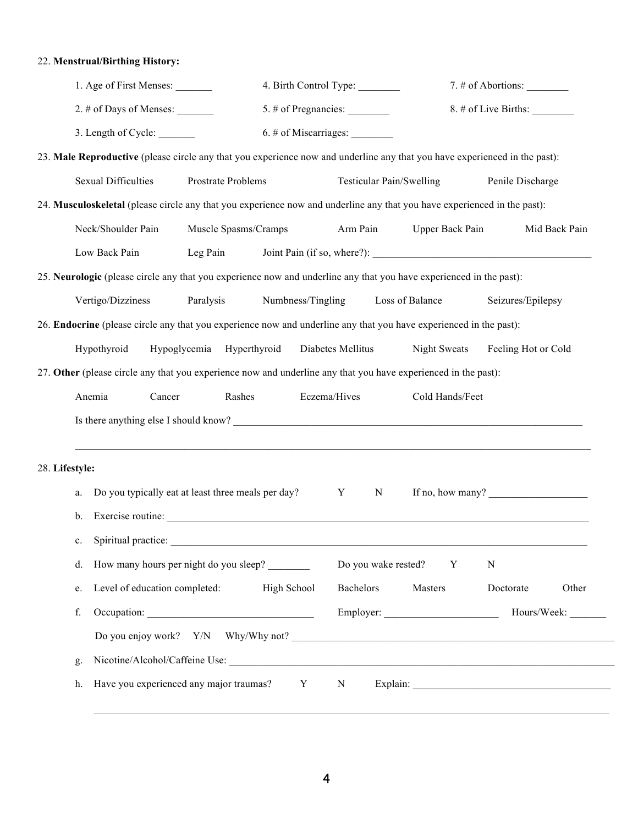## 22. **Menstrual/Birthing History:**

|                | 1. Age of First Menses:                                                                                                    |                      |                   |                                |                     |                                                                                                                                                                                                                                                                                                                                                                                                      |               |
|----------------|----------------------------------------------------------------------------------------------------------------------------|----------------------|-------------------|--------------------------------|---------------------|------------------------------------------------------------------------------------------------------------------------------------------------------------------------------------------------------------------------------------------------------------------------------------------------------------------------------------------------------------------------------------------------------|---------------|
|                | 2. # of Days of Menses:                                                                                                    |                      |                   | $5.$ # of Pregnancies: $\_\_$  |                     | $8. \#$ of Live Births:                                                                                                                                                                                                                                                                                                                                                                              |               |
|                | 3. Length of Cycle: ________                                                                                               |                      |                   | $6.$ # of Miscarriages: $\_\_$ |                     |                                                                                                                                                                                                                                                                                                                                                                                                      |               |
|                | 23. Male Reproductive (please circle any that you experience now and underline any that you have experienced in the past): |                      |                   |                                |                     |                                                                                                                                                                                                                                                                                                                                                                                                      |               |
|                | <b>Sexual Difficulties</b>                                                                                                 | Prostrate Problems   |                   | Testicular Pain/Swelling       |                     | Penile Discharge                                                                                                                                                                                                                                                                                                                                                                                     |               |
|                | 24. Musculoskeletal (please circle any that you experience now and underline any that you have experienced in the past):   |                      |                   |                                |                     |                                                                                                                                                                                                                                                                                                                                                                                                      |               |
|                | Neck/Shoulder Pain                                                                                                         | Muscle Spasms/Cramps |                   | Arm Pain                       | Upper Back Pain     |                                                                                                                                                                                                                                                                                                                                                                                                      | Mid Back Pain |
|                | Low Back Pain                                                                                                              | Leg Pain             |                   |                                |                     |                                                                                                                                                                                                                                                                                                                                                                                                      |               |
|                | 25. Neurologic (please circle any that you experience now and underline any that you have experienced in the past):        |                      |                   |                                |                     |                                                                                                                                                                                                                                                                                                                                                                                                      |               |
|                | Vertigo/Dizziness                                                                                                          | Paralysis            | Numbness/Tingling |                                | Loss of Balance     | Seizures/Epilepsy                                                                                                                                                                                                                                                                                                                                                                                    |               |
|                | 26. Endocrine (please circle any that you experience now and underline any that you have experienced in the past):         |                      |                   |                                |                     |                                                                                                                                                                                                                                                                                                                                                                                                      |               |
|                | Hypothyroid                                                                                                                | Hypoglycemia         | Hyperthyroid      | Diabetes Mellitus              | <b>Night Sweats</b> | Feeling Hot or Cold                                                                                                                                                                                                                                                                                                                                                                                  |               |
|                |                                                                                                                            |                      |                   |                                |                     |                                                                                                                                                                                                                                                                                                                                                                                                      |               |
|                | 27. Other (please circle any that you experience now and underline any that you have experienced in the past):             |                      |                   |                                |                     |                                                                                                                                                                                                                                                                                                                                                                                                      |               |
|                | Anemia<br>Cancer                                                                                                           | Rashes               |                   | Eczema/Hives                   | Cold Hands/Feet     |                                                                                                                                                                                                                                                                                                                                                                                                      |               |
|                |                                                                                                                            |                      |                   |                                |                     |                                                                                                                                                                                                                                                                                                                                                                                                      |               |
|                |                                                                                                                            |                      |                   |                                |                     |                                                                                                                                                                                                                                                                                                                                                                                                      |               |
| 28. Lifestyle: |                                                                                                                            |                      |                   |                                |                     |                                                                                                                                                                                                                                                                                                                                                                                                      |               |
| a.             | Do you typically eat at least three meals per day?                                                                         |                      |                   | Y<br>N                         |                     | If no, how many? $\frac{1}{\sqrt{1-\frac{1}{2}}\sqrt{1-\frac{1}{2}}\sqrt{1-\frac{1}{2}}\sqrt{1-\frac{1}{2}}\sqrt{1-\frac{1}{2}}\sqrt{1-\frac{1}{2}}\sqrt{1-\frac{1}{2}}\sqrt{1-\frac{1}{2}}\sqrt{1-\frac{1}{2}}\sqrt{1-\frac{1}{2}}\sqrt{1-\frac{1}{2}}\sqrt{1-\frac{1}{2}}\sqrt{1-\frac{1}{2}}\sqrt{1-\frac{1}{2}}\sqrt{1-\frac{1}{2}}\sqrt{1-\frac{1}{2}}\sqrt{1-\frac{1}{2}}\sqrt{1-\frac{1}{2}}$ |               |
| b.             | Exercise routine:                                                                                                          |                      |                   |                                |                     |                                                                                                                                                                                                                                                                                                                                                                                                      |               |
| $c_{\cdot}$    | Spiritual practice:                                                                                                        |                      |                   |                                |                     |                                                                                                                                                                                                                                                                                                                                                                                                      |               |
| d.             | How many hours per night do you sleep?                                                                                     |                      |                   | Do you wake rested?            | Y                   | N                                                                                                                                                                                                                                                                                                                                                                                                    |               |
| e.             | Level of education completed:                                                                                              |                      | High School       | Bachelors                      | Masters             | Doctorate                                                                                                                                                                                                                                                                                                                                                                                            | Other         |
| f.             |                                                                                                                            |                      |                   |                                |                     |                                                                                                                                                                                                                                                                                                                                                                                                      |               |
|                |                                                                                                                            |                      |                   |                                |                     |                                                                                                                                                                                                                                                                                                                                                                                                      |               |
| g.             |                                                                                                                            |                      |                   |                                |                     |                                                                                                                                                                                                                                                                                                                                                                                                      |               |